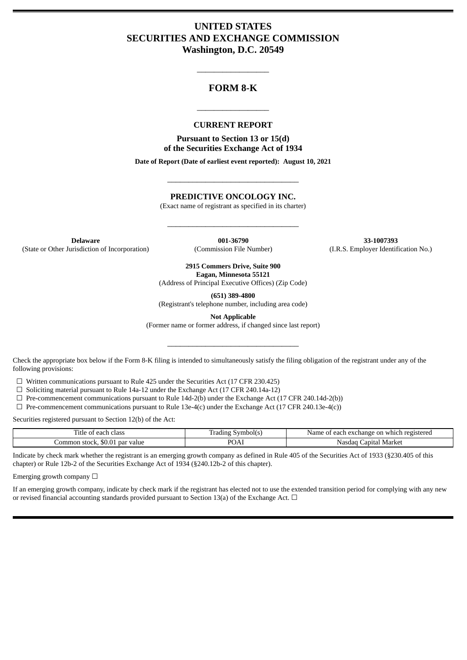# **UNITED STATES SECURITIES AND EXCHANGE COMMISSION Washington, D.C. 20549**

## **FORM 8-K**

\_\_\_\_\_\_\_\_\_\_\_\_\_\_\_\_\_

#### **CURRENT REPORT**

\_\_\_\_\_\_\_\_\_\_\_\_\_\_\_\_\_

**Pursuant to Section 13 or 15(d) of the Securities Exchange Act of 1934**

**Date of Report (Date of earliest event reported): August 10, 2021**

## **PREDICTIVE ONCOLOGY INC.**

\_\_\_\_\_\_\_\_\_\_\_\_\_\_\_\_\_\_\_\_\_\_\_\_\_\_\_\_\_\_\_

(Exact name of registrant as specified in its charter)

\_\_\_\_\_\_\_\_\_\_\_\_\_\_\_\_\_\_\_\_\_\_\_\_\_\_\_\_\_\_\_

**Delaware 001-36790 33-1007393** (State or Other Jurisdiction of Incorporation) (Commission File Number) (I.R.S. Employer Identification No.)

**2915 Commers Drive, Suite 900 Eagan, Minnesota 55121**

(Address of Principal Executive Offices) (Zip Code)

**(651) 389-4800**

(Registrant's telephone number, including area code)

**Not Applicable**

(Former name or former address, if changed since last report)

\_\_\_\_\_\_\_\_\_\_\_\_\_\_\_\_\_\_\_\_\_\_\_\_\_\_\_\_\_\_\_

Check the appropriate box below if the Form 8-K filing is intended to simultaneously satisfy the filing obligation of the registrant under any of the following provisions:

☐ Written communications pursuant to Rule 425 under the Securities Act (17 CFR 230.425)

 $\Box$  Soliciting material pursuant to Rule 14a-12 under the Exchange Act (17 CFR 240.14a-12)

 $\Box$  Pre-commencement communications pursuant to Rule 14d-2(b) under the Exchange Act (17 CFR 240.14d-2(b))

 $\Box$  Pre-commencement communications pursuant to Rule 13e-4(c) under the Exchange Act (17 CFR 240.13e-4(c))

Securities registered pursuant to Section 12(b) of the Act:

| $-$<br>. itle<br>of each class        | radıng.<br>Symbolls | t each exchange on which registered<br>Name of |
|---------------------------------------|---------------------|------------------------------------------------|
| Common stock. \$0.01 z<br>. par value | POAl                | . Market<br>apital<br>Nasdar                   |

Indicate by check mark whether the registrant is an emerging growth company as defined in Rule 405 of the Securities Act of 1933 (§230.405 of this chapter) or Rule 12b-2 of the Securities Exchange Act of 1934 (§240.12b-2 of this chapter).

Emerging growth company  $\Box$ 

If an emerging growth company, indicate by check mark if the registrant has elected not to use the extended transition period for complying with any new or revised financial accounting standards provided pursuant to Section 13(a) of the Exchange Act.  $\Box$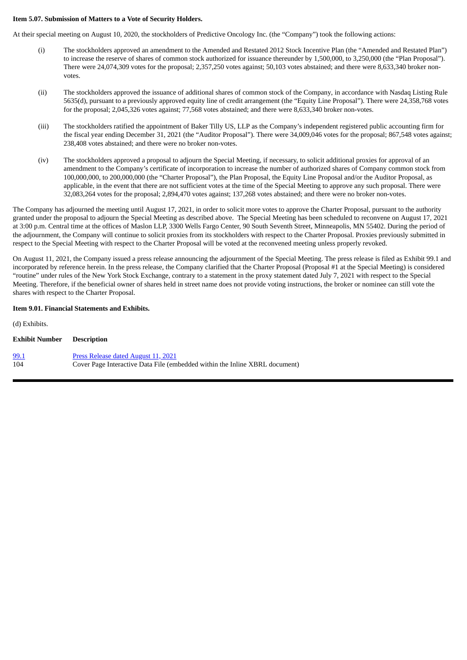#### **Item 5.07. Submission of Matters to a Vote of Security Holders.**

At their special meeting on August 10, 2020, the stockholders of Predictive Oncology Inc. (the "Company") took the following actions:

- (i) The stockholders approved an amendment to the Amended and Restated 2012 Stock Incentive Plan (the "Amended and Restated Plan") to increase the reserve of shares of common stock authorized for issuance thereunder by 1,500,000, to 3,250,000 (the "Plan Proposal"). There were 24,074,309 votes for the proposal; 2,357,250 votes against; 50,103 votes abstained; and there were 8,633,340 broker nonvotes.
- (ii) The stockholders approved the issuance of additional shares of common stock of the Company, in accordance with Nasdaq Listing Rule 5635(d), pursuant to a previously approved equity line of credit arrangement (the "Equity Line Proposal"). There were 24,358,768 votes for the proposal; 2,045,326 votes against; 77,568 votes abstained; and there were 8,633,340 broker non-votes.
- (iii) The stockholders ratified the appointment of Baker Tilly US, LLP as the Company's independent registered public accounting firm for the fiscal year ending December 31, 2021 (the "Auditor Proposal"). There were 34,009,046 votes for the proposal; 867,548 votes against; 238,408 votes abstained; and there were no broker non-votes.
- (iv) The stockholders approved a proposal to adjourn the Special Meeting, if necessary, to solicit additional proxies for approval of an amendment to the Company's certificate of incorporation to increase the number of authorized shares of Company common stock from 100,000,000, to 200,000,000 (the "Charter Proposal"), the Plan Proposal, the Equity Line Proposal and/or the Auditor Proposal, as applicable, in the event that there are not sufficient votes at the time of the Special Meeting to approve any such proposal. There were 32,083,264 votes for the proposal; 2,894,470 votes against; 137,268 votes abstained; and there were no broker non-votes.

The Company has adjourned the meeting until August 17, 2021, in order to solicit more votes to approve the Charter Proposal, pursuant to the authority granted under the proposal to adjourn the Special Meeting as described above. The Special Meeting has been scheduled to reconvene on August 17, 2021 at 3:00 p.m. Central time at the offices of Maslon LLP, 3300 Wells Fargo Center, 90 South Seventh Street, Minneapolis, MN 55402. During the period of the adjournment, the Company will continue to solicit proxies from its stockholders with respect to the Charter Proposal. Proxies previously submitted in respect to the Special Meeting with respect to the Charter Proposal will be voted at the reconvened meeting unless properly revoked.

On August 11, 2021, the Company issued a press release announcing the adjournment of the Special Meeting. The press release is filed as Exhibit 99.1 and incorporated by reference herein. In the press release, the Company clarified that the Charter Proposal (Proposal #1 at the Special Meeting) is considered "routine" under rules of the New York Stock Exchange, contrary to a statement in the proxy statement dated July 7, 2021 with respect to the Special Meeting. Therefore, if the beneficial owner of shares held in street name does not provide voting instructions, the broker or nominee can still vote the shares with respect to the Charter Proposal.

#### **Item 9.01. Financial Statements and Exhibits.**

(d) Exhibits. **Exhibit Number Description** [99.1](#page-3-0) Press [Release](#page-3-0) dated August 11, 2021 104 Cover Page Interactive Data File (embedded within the Inline XBRL document)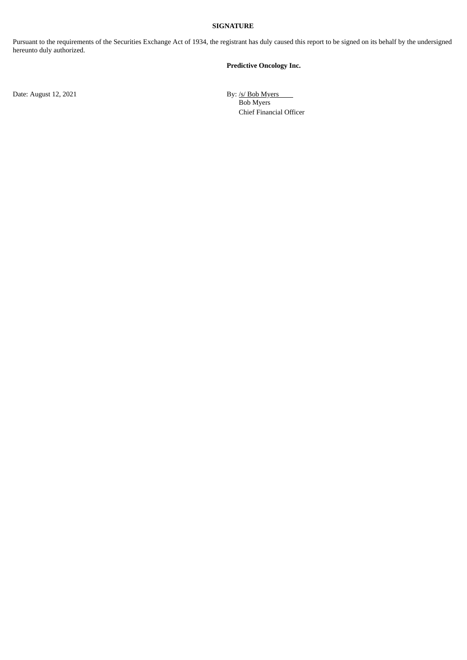## **SIGNATURE**

Pursuant to the requirements of the Securities Exchange Act of 1934, the registrant has duly caused this report to be signed on its behalf by the undersigned hereunto duly authorized.

#### **Predictive Oncology Inc.**

Date: August 12, 2021 By: /s/ Bob Myers Bob Myers Chief Financial Officer